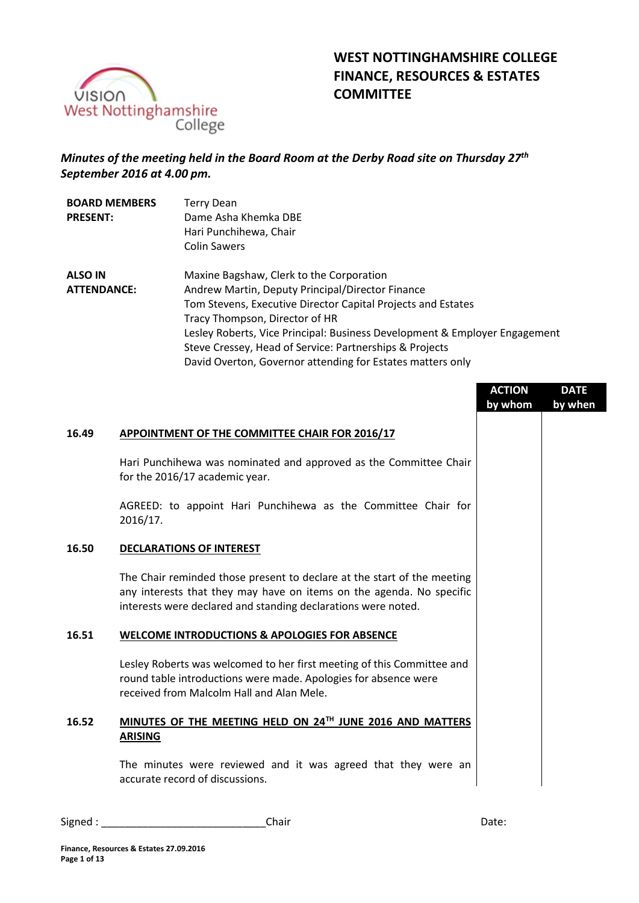

# *Minutes of the meeting held in the Board Room at the Derby Road site on Thursday 27th September 2016 at 4.00 pm.*

| <b>BOARD MEMBERS</b><br><b>PRESENT:</b> | <b>Terry Dean</b><br>Dame Asha Khemka DBE<br>Hari Punchihewa, Chair<br><b>Colin Sawers</b> |
|-----------------------------------------|--------------------------------------------------------------------------------------------|
| <b>ALSO IN</b>                          | Maxine Bagshaw, Clerk to the Corporation                                                   |
|                                         |                                                                                            |
| <b>ATTENDANCE:</b>                      | Andrew Martin, Deputy Principal/Director Finance                                           |
|                                         | Tom Stevens, Executive Director Capital Projects and Estates                               |
|                                         | Tracy Thompson, Director of HR                                                             |
|                                         | Lesley Roberts, Vice Principal: Business Development & Employer Engagement                 |
|                                         | Steve Cressey, Head of Service: Partnerships & Projects                                    |
|                                         | David Overton, Governor attending for Estates matters only                                 |

|       |                                                                                                                                                                                                                  | <b>ACTION</b><br>by whom | <b>DATE</b><br>by when |
|-------|------------------------------------------------------------------------------------------------------------------------------------------------------------------------------------------------------------------|--------------------------|------------------------|
| 16.49 | APPOINTMENT OF THE COMMITTEE CHAIR FOR 2016/17                                                                                                                                                                   |                          |                        |
|       | Hari Punchihewa was nominated and approved as the Committee Chair<br>for the 2016/17 academic year.                                                                                                              |                          |                        |
|       | AGREED: to appoint Hari Punchihewa as the Committee Chair for<br>2016/17.                                                                                                                                        |                          |                        |
| 16.50 | <b>DECLARATIONS OF INTEREST</b>                                                                                                                                                                                  |                          |                        |
|       | The Chair reminded those present to declare at the start of the meeting<br>any interests that they may have on items on the agenda. No specific<br>interests were declared and standing declarations were noted. |                          |                        |
| 16.51 | <b>WELCOME INTRODUCTIONS &amp; APOLOGIES FOR ABSENCE</b>                                                                                                                                                         |                          |                        |
|       | Lesley Roberts was welcomed to her first meeting of this Committee and<br>round table introductions were made. Apologies for absence were<br>received from Malcolm Hall and Alan Mele.                           |                          |                        |
| 16.52 | MINUTES OF THE MEETING HELD ON 24TH JUNE 2016 AND MATTERS<br><b>ARISING</b>                                                                                                                                      |                          |                        |
|       | The minutes were reviewed and it was agreed that they were an<br>accurate record of discussions.                                                                                                                 |                          |                        |
|       |                                                                                                                                                                                                                  |                          |                        |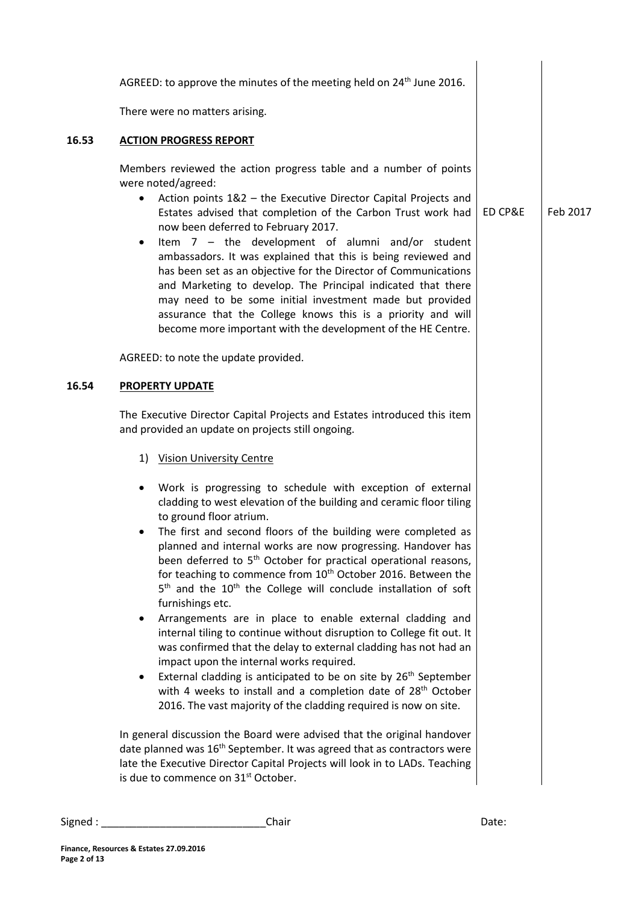|       | AGREED: to approve the minutes of the meeting held on 24 <sup>th</sup> June 2016.                                                                                                                                                                                                                                                                                                                                                                                                                                                                                                                                                                                                                                                                                                                                                                                                                                                                                                                                                                                                |         |          |
|-------|----------------------------------------------------------------------------------------------------------------------------------------------------------------------------------------------------------------------------------------------------------------------------------------------------------------------------------------------------------------------------------------------------------------------------------------------------------------------------------------------------------------------------------------------------------------------------------------------------------------------------------------------------------------------------------------------------------------------------------------------------------------------------------------------------------------------------------------------------------------------------------------------------------------------------------------------------------------------------------------------------------------------------------------------------------------------------------|---------|----------|
|       | There were no matters arising.                                                                                                                                                                                                                                                                                                                                                                                                                                                                                                                                                                                                                                                                                                                                                                                                                                                                                                                                                                                                                                                   |         |          |
| 16.53 | <b>ACTION PROGRESS REPORT</b>                                                                                                                                                                                                                                                                                                                                                                                                                                                                                                                                                                                                                                                                                                                                                                                                                                                                                                                                                                                                                                                    |         |          |
|       | Members reviewed the action progress table and a number of points<br>were noted/agreed:<br>Action points 1&2 - the Executive Director Capital Projects and<br>$\bullet$<br>Estates advised that completion of the Carbon Trust work had<br>now been deferred to February 2017.<br>Item $7 -$ the development of alumni and/or student<br>٠<br>ambassadors. It was explained that this is being reviewed and<br>has been set as an objective for the Director of Communications<br>and Marketing to develop. The Principal indicated that there<br>may need to be some initial investment made but provided<br>assurance that the College knows this is a priority and will<br>become more important with the development of the HE Centre.                                                                                                                                                                                                                                                                                                                                       | ED CP&E | Feb 2017 |
|       | AGREED: to note the update provided.                                                                                                                                                                                                                                                                                                                                                                                                                                                                                                                                                                                                                                                                                                                                                                                                                                                                                                                                                                                                                                             |         |          |
| 16.54 | <b>PROPERTY UPDATE</b>                                                                                                                                                                                                                                                                                                                                                                                                                                                                                                                                                                                                                                                                                                                                                                                                                                                                                                                                                                                                                                                           |         |          |
|       | The Executive Director Capital Projects and Estates introduced this item<br>and provided an update on projects still ongoing.                                                                                                                                                                                                                                                                                                                                                                                                                                                                                                                                                                                                                                                                                                                                                                                                                                                                                                                                                    |         |          |
|       | 1) Vision University Centre                                                                                                                                                                                                                                                                                                                                                                                                                                                                                                                                                                                                                                                                                                                                                                                                                                                                                                                                                                                                                                                      |         |          |
|       | Work is progressing to schedule with exception of external<br>٠<br>cladding to west elevation of the building and ceramic floor tiling<br>to ground floor atrium.<br>The first and second floors of the building were completed as<br>planned and internal works are now progressing. Handover has<br>been deferred to 5 <sup>th</sup> October for practical operational reasons,<br>for teaching to commence from 10 <sup>th</sup> October 2016. Between the<br>5 <sup>th</sup> and the 10 <sup>th</sup> the College will conclude installation of soft<br>furnishings etc.<br>Arrangements are in place to enable external cladding and<br>internal tiling to continue without disruption to College fit out. It<br>was confirmed that the delay to external cladding has not had an<br>impact upon the internal works required.<br>External cladding is anticipated to be on site by 26 <sup>th</sup> September<br>$\bullet$<br>with 4 weeks to install and a completion date of 28 <sup>th</sup> October<br>2016. The vast majority of the cladding required is now on site. |         |          |
|       | In general discussion the Board were advised that the original handover<br>date planned was 16 <sup>th</sup> September. It was agreed that as contractors were<br>late the Executive Director Capital Projects will look in to LADs. Teaching<br>is due to commence on 31 <sup>st</sup> October.                                                                                                                                                                                                                                                                                                                                                                                                                                                                                                                                                                                                                                                                                                                                                                                 |         |          |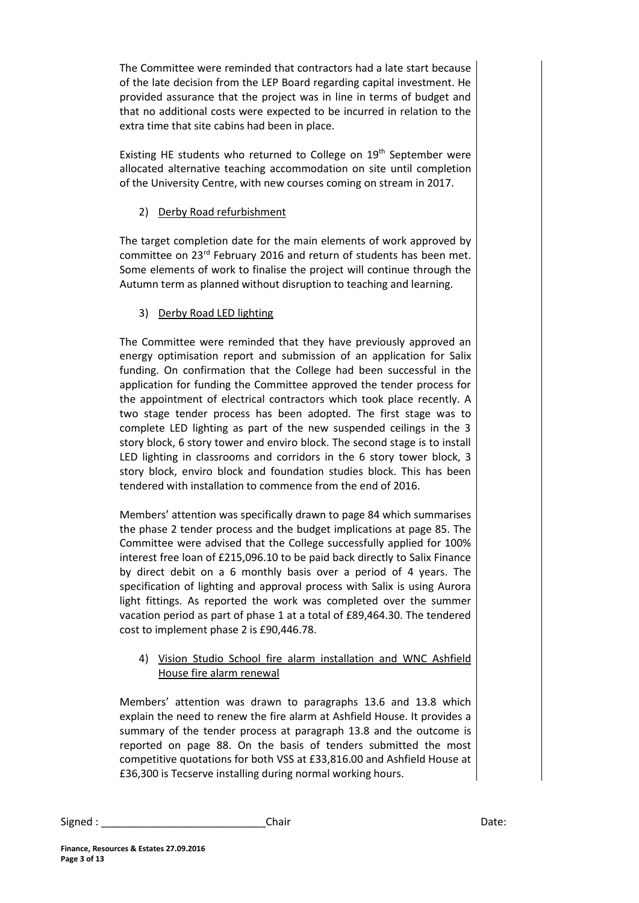The Committee were reminded that contractors had a late start because of the late decision from the LEP Board regarding capital investment. He provided assurance that the project was in line in terms of budget and that no additional costs were expected to be incurred in relation to the extra time that site cabins had been in place.

Existing HE students who returned to College on 19<sup>th</sup> September were allocated alternative teaching accommodation on site until completion of the University Centre, with new courses coming on stream in 2017.

## 2) Derby Road refurbishment

The target completion date for the main elements of work approved by committee on 23rd February 2016 and return of students has been met. Some elements of work to finalise the project will continue through the Autumn term as planned without disruption to teaching and learning.

## 3) Derby Road LED lighting

The Committee were reminded that they have previously approved an energy optimisation report and submission of an application for Salix funding. On confirmation that the College had been successful in the application for funding the Committee approved the tender process for the appointment of electrical contractors which took place recently. A two stage tender process has been adopted. The first stage was to complete LED lighting as part of the new suspended ceilings in the 3 story block, 6 story tower and enviro block. The second stage is to install LED lighting in classrooms and corridors in the 6 story tower block, 3 story block, enviro block and foundation studies block. This has been tendered with installation to commence from the end of 2016.

Members' attention was specifically drawn to page 84 which summarises the phase 2 tender process and the budget implications at page 85. The Committee were advised that the College successfully applied for 100% interest free loan of £215,096.10 to be paid back directly to Salix Finance by direct debit on a 6 monthly basis over a period of 4 years. The specification of lighting and approval process with Salix is using Aurora light fittings. As reported the work was completed over the summer vacation period as part of phase 1 at a total of £89,464.30. The tendered cost to implement phase 2 is £90,446.78.

### 4) Vision Studio School fire alarm installation and WNC Ashfield House fire alarm renewal

Members' attention was drawn to paragraphs 13.6 and 13.8 which explain the need to renew the fire alarm at Ashfield House. It provides a summary of the tender process at paragraph 13.8 and the outcome is reported on page 88. On the basis of tenders submitted the most competitive quotations for both VSS at £33,816.00 and Ashfield House at £36,300 is Tecserve installing during normal working hours.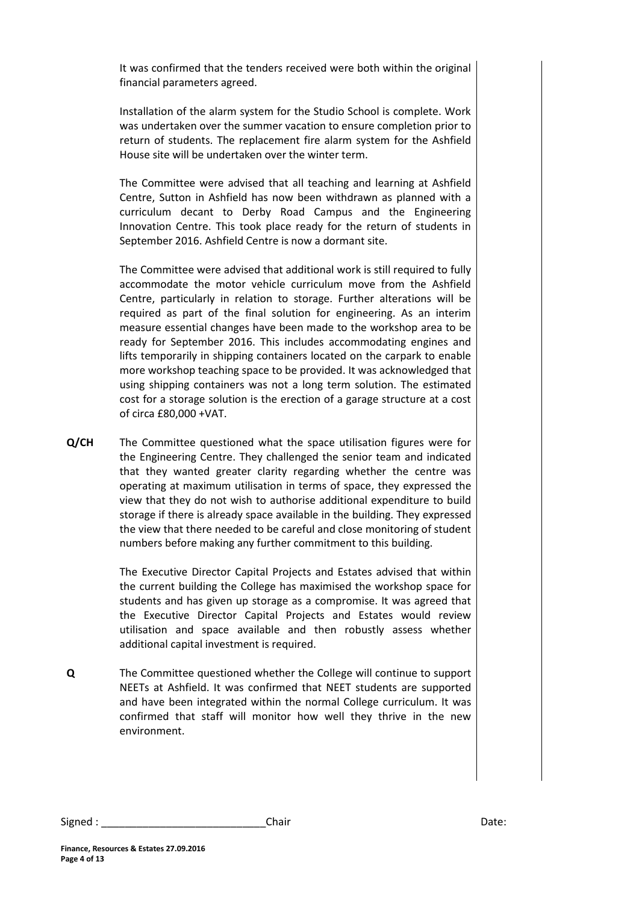It was confirmed that the tenders received were both within the original financial parameters agreed.

Installation of the alarm system for the Studio School is complete. Work was undertaken over the summer vacation to ensure completion prior to return of students. The replacement fire alarm system for the Ashfield House site will be undertaken over the winter term.

The Committee were advised that all teaching and learning at Ashfield Centre, Sutton in Ashfield has now been withdrawn as planned with a curriculum decant to Derby Road Campus and the Engineering Innovation Centre. This took place ready for the return of students in September 2016. Ashfield Centre is now a dormant site.

The Committee were advised that additional work is still required to fully accommodate the motor vehicle curriculum move from the Ashfield Centre, particularly in relation to storage. Further alterations will be required as part of the final solution for engineering. As an interim measure essential changes have been made to the workshop area to be ready for September 2016. This includes accommodating engines and lifts temporarily in shipping containers located on the carpark to enable more workshop teaching space to be provided. It was acknowledged that using shipping containers was not a long term solution. The estimated cost for a storage solution is the erection of a garage structure at a cost of circa £80,000 +VAT.

**Q/CH** The Committee questioned what the space utilisation figures were for the Engineering Centre. They challenged the senior team and indicated that they wanted greater clarity regarding whether the centre was operating at maximum utilisation in terms of space, they expressed the view that they do not wish to authorise additional expenditure to build storage if there is already space available in the building. They expressed the view that there needed to be careful and close monitoring of student numbers before making any further commitment to this building.

> The Executive Director Capital Projects and Estates advised that within the current building the College has maximised the workshop space for students and has given up storage as a compromise. It was agreed that the Executive Director Capital Projects and Estates would review utilisation and space available and then robustly assess whether additional capital investment is required.

**Q** The Committee questioned whether the College will continue to support NEETs at Ashfield. It was confirmed that NEET students are supported and have been integrated within the normal College curriculum. It was confirmed that staff will monitor how well they thrive in the new environment.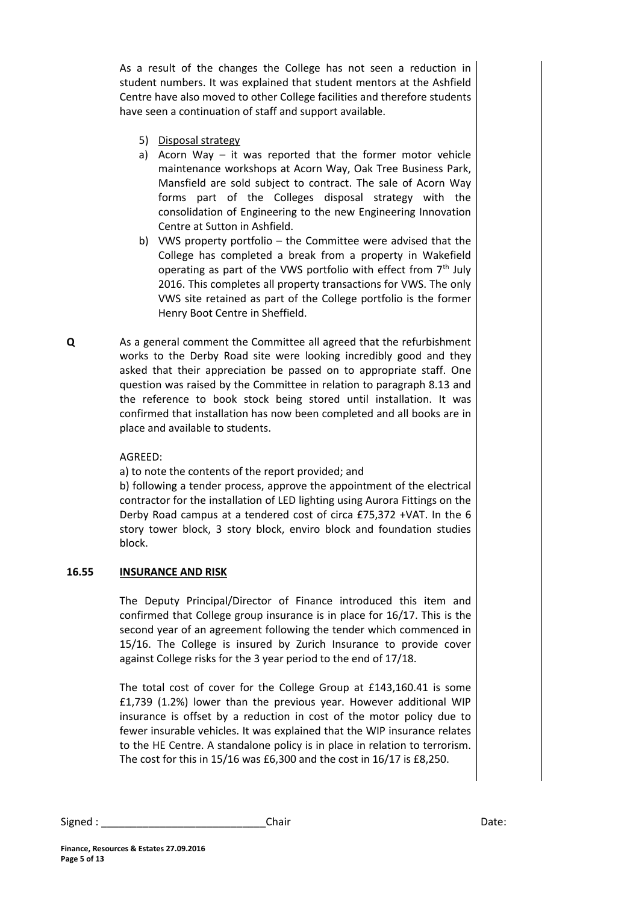As a result of the changes the College has not seen a reduction in student numbers. It was explained that student mentors at the Ashfield Centre have also moved to other College facilities and therefore students have seen a continuation of staff and support available.

- 5) Disposal strategy
- a) Acorn Way it was reported that the former motor vehicle maintenance workshops at Acorn Way, Oak Tree Business Park, Mansfield are sold subject to contract. The sale of Acorn Way forms part of the Colleges disposal strategy with the consolidation of Engineering to the new Engineering Innovation Centre at Sutton in Ashfield.
- b) VWS property portfolio the Committee were advised that the College has completed a break from a property in Wakefield operating as part of the VWS portfolio with effect from 7<sup>th</sup> July 2016. This completes all property transactions for VWS. The only VWS site retained as part of the College portfolio is the former Henry Boot Centre in Sheffield.
- As a general comment the Committee all agreed that the refurbishment works to the Derby Road site were looking incredibly good and they asked that their appreciation be passed on to appropriate staff. One question was raised by the Committee in relation to paragraph 8.13 and the reference to book stock being stored until installation. It was confirmed that installation has now been completed and all books are in place and available to students.

#### AGREED:

a) to note the contents of the report provided; and

b) following a tender process, approve the appointment of the electrical contractor for the installation of LED lighting using Aurora Fittings on the Derby Road campus at a tendered cost of circa £75,372 +VAT. In the 6 story tower block, 3 story block, enviro block and foundation studies block.

#### **16.55 INSURANCE AND RISK**

The Deputy Principal/Director of Finance introduced this item and confirmed that College group insurance is in place for 16/17. This is the second year of an agreement following the tender which commenced in 15/16. The College is insured by Zurich Insurance to provide cover against College risks for the 3 year period to the end of 17/18.

The total cost of cover for the College Group at £143,160.41 is some £1,739 (1.2%) lower than the previous year. However additional WIP insurance is offset by a reduction in cost of the motor policy due to fewer insurable vehicles. It was explained that the WIP insurance relates to the HE Centre. A standalone policy is in place in relation to terrorism. The cost for this in 15/16 was £6,300 and the cost in 16/17 is £8,250.

Signed : \_\_\_\_\_\_\_\_\_\_\_\_\_\_\_\_\_\_\_\_\_\_\_\_\_\_\_\_Chair Date:

**Q**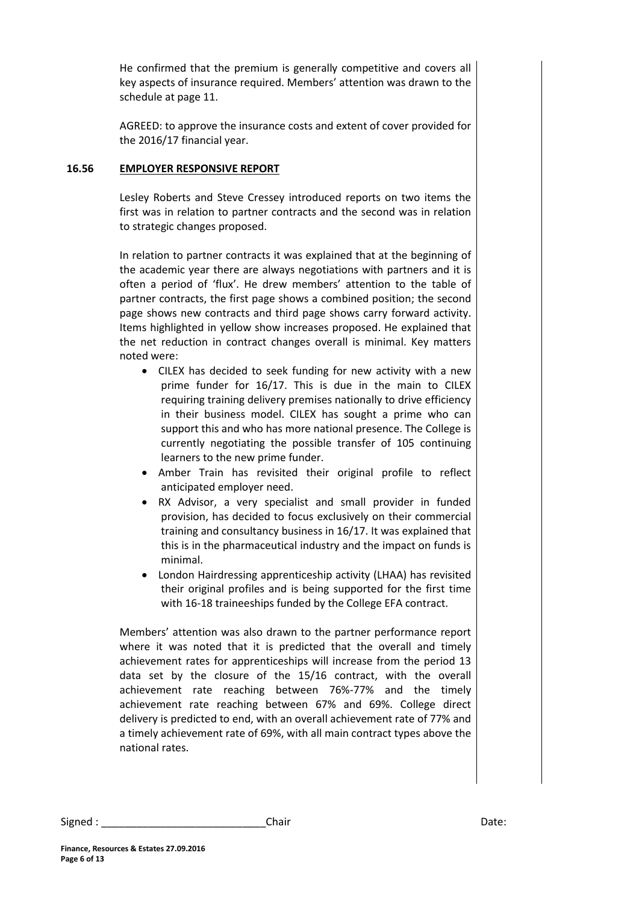He confirmed that the premium is generally competitive and covers all key aspects of insurance required. Members' attention was drawn to the schedule at page 11.

AGREED: to approve the insurance costs and extent of cover provided for the 2016/17 financial year.

#### **16.56 EMPLOYER RESPONSIVE REPORT**

Lesley Roberts and Steve Cressey introduced reports on two items the first was in relation to partner contracts and the second was in relation to strategic changes proposed.

In relation to partner contracts it was explained that at the beginning of the academic year there are always negotiations with partners and it is often a period of 'flux'. He drew members' attention to the table of partner contracts, the first page shows a combined position; the second page shows new contracts and third page shows carry forward activity. Items highlighted in yellow show increases proposed. He explained that the net reduction in contract changes overall is minimal. Key matters noted were:

- CILEX has decided to seek funding for new activity with a new prime funder for 16/17. This is due in the main to CILEX requiring training delivery premises nationally to drive efficiency in their business model. CILEX has sought a prime who can support this and who has more national presence. The College is currently negotiating the possible transfer of 105 continuing learners to the new prime funder.
- Amber Train has revisited their original profile to reflect anticipated employer need.
- RX Advisor, a very specialist and small provider in funded provision, has decided to focus exclusively on their commercial training and consultancy business in 16/17. It was explained that this is in the pharmaceutical industry and the impact on funds is minimal.
- London Hairdressing apprenticeship activity (LHAA) has revisited their original profiles and is being supported for the first time with 16-18 traineeships funded by the College EFA contract.

Members' attention was also drawn to the partner performance report where it was noted that it is predicted that the overall and timely achievement rates for apprenticeships will increase from the period 13 data set by the closure of the 15/16 contract, with the overall achievement rate reaching between 76%-77% and the timely achievement rate reaching between 67% and 69%. College direct delivery is predicted to end, with an overall achievement rate of 77% and a timely achievement rate of 69%, with all main contract types above the national rates.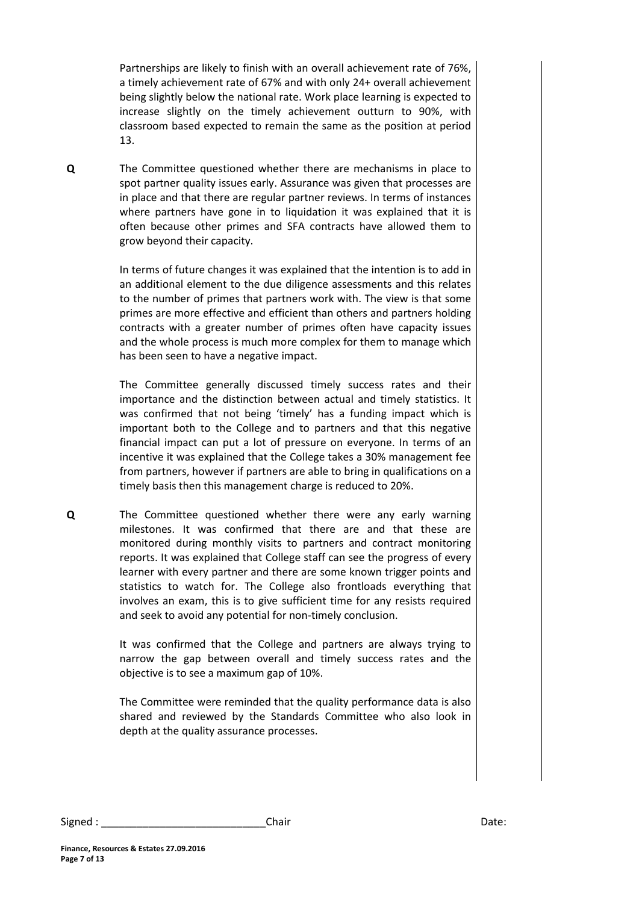Partnerships are likely to finish with an overall achievement rate of 76%, a timely achievement rate of 67% and with only 24+ overall achievement being slightly below the national rate. Work place learning is expected to increase slightly on the timely achievement outturn to 90%, with classroom based expected to remain the same as the position at period 13.

**Q** The Committee questioned whether there are mechanisms in place to spot partner quality issues early. Assurance was given that processes are in place and that there are regular partner reviews. In terms of instances where partners have gone in to liquidation it was explained that it is often because other primes and SFA contracts have allowed them to grow beyond their capacity.

> In terms of future changes it was explained that the intention is to add in an additional element to the due diligence assessments and this relates to the number of primes that partners work with. The view is that some primes are more effective and efficient than others and partners holding contracts with a greater number of primes often have capacity issues and the whole process is much more complex for them to manage which has been seen to have a negative impact.

> The Committee generally discussed timely success rates and their importance and the distinction between actual and timely statistics. It was confirmed that not being 'timely' has a funding impact which is important both to the College and to partners and that this negative financial impact can put a lot of pressure on everyone. In terms of an incentive it was explained that the College takes a 30% management fee from partners, however if partners are able to bring in qualifications on a timely basis then this management charge is reduced to 20%.

**Q** The Committee questioned whether there were any early warning milestones. It was confirmed that there are and that these are monitored during monthly visits to partners and contract monitoring reports. It was explained that College staff can see the progress of every learner with every partner and there are some known trigger points and statistics to watch for. The College also frontloads everything that involves an exam, this is to give sufficient time for any resists required and seek to avoid any potential for non-timely conclusion.

> It was confirmed that the College and partners are always trying to narrow the gap between overall and timely success rates and the objective is to see a maximum gap of 10%.

> The Committee were reminded that the quality performance data is also shared and reviewed by the Standards Committee who also look in depth at the quality assurance processes.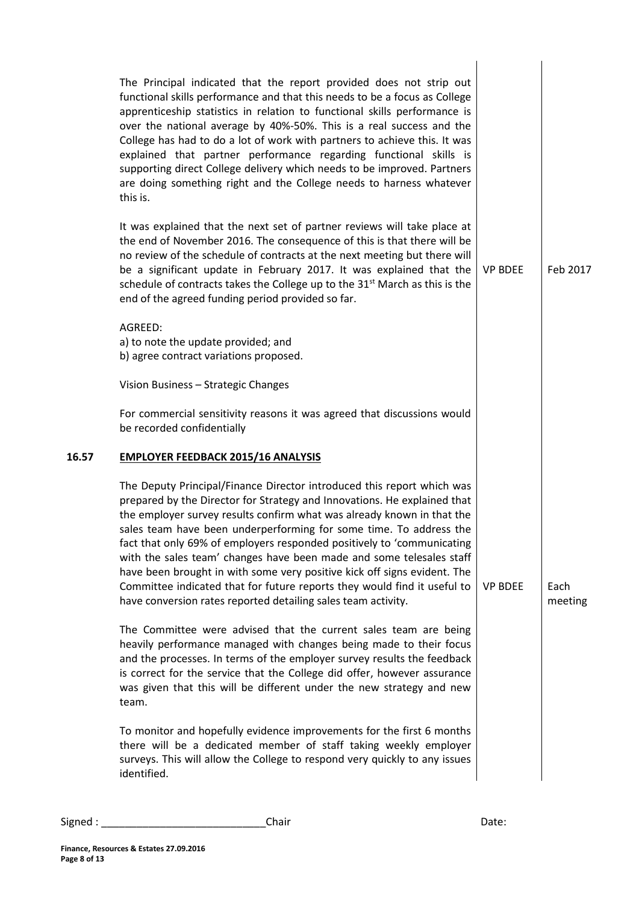|       | The Principal indicated that the report provided does not strip out<br>functional skills performance and that this needs to be a focus as College<br>apprenticeship statistics in relation to functional skills performance is<br>over the national average by 40%-50%. This is a real success and the<br>College has had to do a lot of work with partners to achieve this. It was<br>explained that partner performance regarding functional skills is<br>supporting direct College delivery which needs to be improved. Partners<br>are doing something right and the College needs to harness whatever<br>this is.                                                        |                |                 |
|-------|-------------------------------------------------------------------------------------------------------------------------------------------------------------------------------------------------------------------------------------------------------------------------------------------------------------------------------------------------------------------------------------------------------------------------------------------------------------------------------------------------------------------------------------------------------------------------------------------------------------------------------------------------------------------------------|----------------|-----------------|
|       | It was explained that the next set of partner reviews will take place at<br>the end of November 2016. The consequence of this is that there will be<br>no review of the schedule of contracts at the next meeting but there will<br>be a significant update in February 2017. It was explained that the<br>schedule of contracts takes the College up to the 31 <sup>st</sup> March as this is the<br>end of the agreed funding period provided so far.                                                                                                                                                                                                                       | <b>VP BDEE</b> | Feb 2017        |
|       | AGREED:<br>a) to note the update provided; and<br>b) agree contract variations proposed.                                                                                                                                                                                                                                                                                                                                                                                                                                                                                                                                                                                      |                |                 |
|       | Vision Business - Strategic Changes                                                                                                                                                                                                                                                                                                                                                                                                                                                                                                                                                                                                                                           |                |                 |
|       | For commercial sensitivity reasons it was agreed that discussions would<br>be recorded confidentially                                                                                                                                                                                                                                                                                                                                                                                                                                                                                                                                                                         |                |                 |
| 16.57 | <b>EMPLOYER FEEDBACK 2015/16 ANALYSIS</b>                                                                                                                                                                                                                                                                                                                                                                                                                                                                                                                                                                                                                                     |                |                 |
|       | The Deputy Principal/Finance Director introduced this report which was<br>prepared by the Director for Strategy and Innovations. He explained that<br>the employer survey results confirm what was already known in that the<br>sales team have been underperforming for some time. To address the<br>fact that only 69% of employers responded positively to 'communicating<br>with the sales team' changes have been made and some telesales staff<br>have been brought in with some very positive kick off signs evident. The<br>Committee indicated that for future reports they would find it useful to<br>have conversion rates reported detailing sales team activity. | <b>VP BDEE</b> | Each<br>meeting |
|       | The Committee were advised that the current sales team are being<br>heavily performance managed with changes being made to their focus<br>and the processes. In terms of the employer survey results the feedback<br>is correct for the service that the College did offer, however assurance<br>was given that this will be different under the new strategy and new<br>team.                                                                                                                                                                                                                                                                                                |                |                 |
|       | To monitor and hopefully evidence improvements for the first 6 months<br>there will be a dedicated member of staff taking weekly employer<br>surveys. This will allow the College to respond very quickly to any issues<br>identified.                                                                                                                                                                                                                                                                                                                                                                                                                                        |                |                 |
|       |                                                                                                                                                                                                                                                                                                                                                                                                                                                                                                                                                                                                                                                                               |                |                 |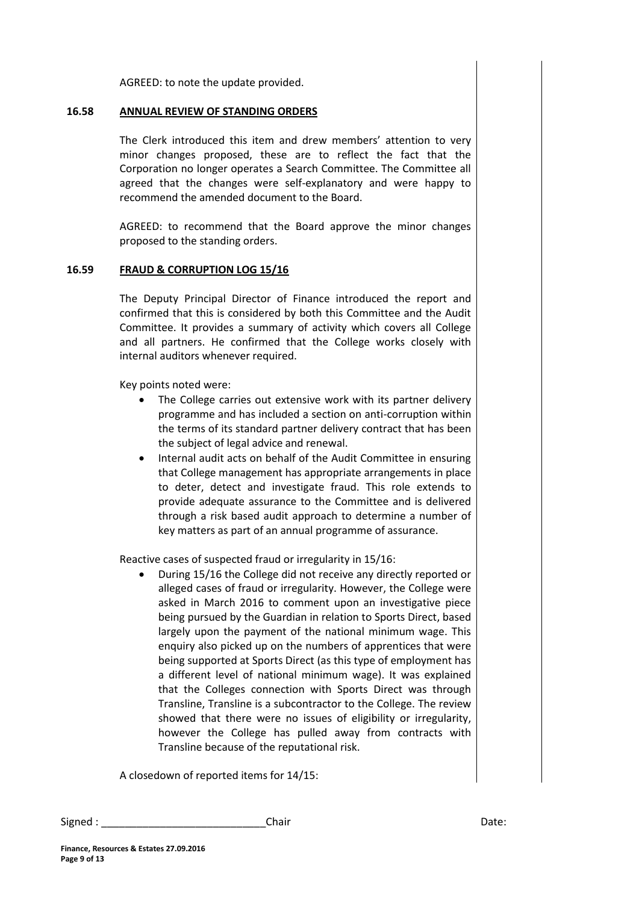AGREED: to note the update provided.

#### **16.58 ANNUAL REVIEW OF STANDING ORDERS**

The Clerk introduced this item and drew members' attention to very minor changes proposed, these are to reflect the fact that the Corporation no longer operates a Search Committee. The Committee all agreed that the changes were self-explanatory and were happy to recommend the amended document to the Board.

AGREED: to recommend that the Board approve the minor changes proposed to the standing orders.

#### **16.59 FRAUD & CORRUPTION LOG 15/16**

The Deputy Principal Director of Finance introduced the report and confirmed that this is considered by both this Committee and the Audit Committee. It provides a summary of activity which covers all College and all partners. He confirmed that the College works closely with internal auditors whenever required.

Key points noted were:

- The College carries out extensive work with its partner delivery programme and has included a section on anti-corruption within the terms of its standard partner delivery contract that has been the subject of legal advice and renewal.
- Internal audit acts on behalf of the Audit Committee in ensuring that College management has appropriate arrangements in place to deter, detect and investigate fraud. This role extends to provide adequate assurance to the Committee and is delivered through a risk based audit approach to determine a number of key matters as part of an annual programme of assurance.

Reactive cases of suspected fraud or irregularity in 15/16:

 During 15/16 the College did not receive any directly reported or alleged cases of fraud or irregularity. However, the College were asked in March 2016 to comment upon an investigative piece being pursued by the Guardian in relation to Sports Direct, based largely upon the payment of the national minimum wage. This enquiry also picked up on the numbers of apprentices that were being supported at Sports Direct (as this type of employment has a different level of national minimum wage). It was explained that the Colleges connection with Sports Direct was through Transline, Transline is a subcontractor to the College. The review showed that there were no issues of eligibility or irregularity, however the College has pulled away from contracts with Transline because of the reputational risk.

A closedown of reported items for 14/15: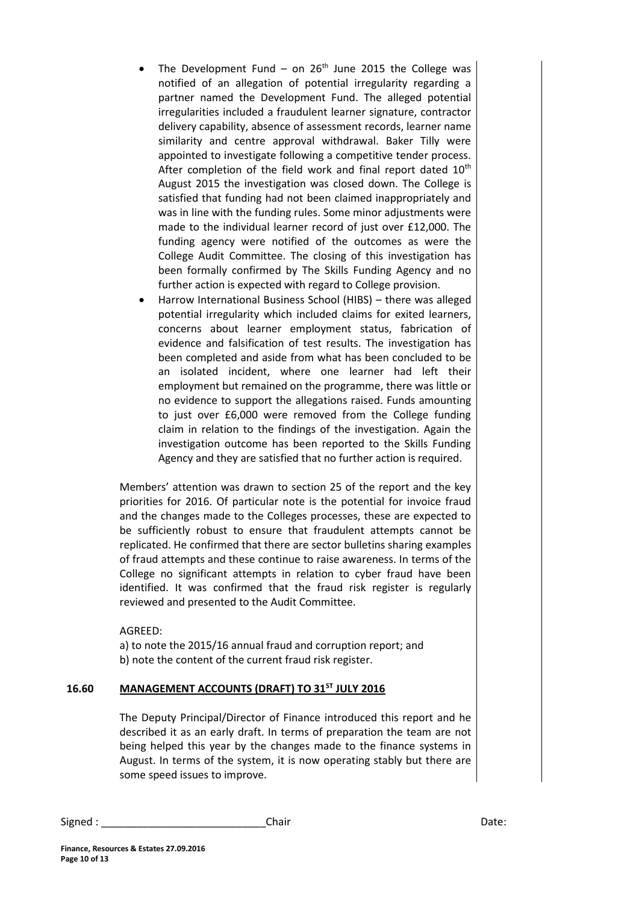- The Development Fund on  $26<sup>th</sup>$  June 2015 the College was notified of an allegation of potential irregularity regarding a partner named the Development Fund. The alleged potential irregularities included a fraudulent learner signature, contractor delivery capability, absence of assessment records, learner name similarity and centre approval withdrawal. Baker Tilly were appointed to investigate following a competitive tender process. After completion of the field work and final report dated  $10<sup>th</sup>$ August 2015 the investigation was closed down. The College is satisfied that funding had not been claimed inappropriately and was in line with the funding rules. Some minor adjustments were made to the individual learner record of just over £12,000. The funding agency were notified of the outcomes as were the College Audit Committee. The closing of this investigation has been formally confirmed by The Skills Funding Agency and no further action is expected with regard to College provision.
- Harrow International Business School (HIBS) there was alleged potential irregularity which included claims for exited learners, concerns about learner employment status, fabrication of evidence and falsification of test results. The investigation has been completed and aside from what has been concluded to be an isolated incident, where one learner had left their employment but remained on the programme, there was little or no evidence to support the allegations raised. Funds amounting to just over £6,000 were removed from the College funding claim in relation to the findings of the investigation. Again the investigation outcome has been reported to the Skills Funding Agency and they are satisfied that no further action is required.

Members' attention was drawn to section 25 of the report and the key priorities for 2016. Of particular note is the potential for invoice fraud and the changes made to the Colleges processes, these are expected to be sufficiently robust to ensure that fraudulent attempts cannot be replicated. He confirmed that there are sector bulletins sharing examples of fraud attempts and these continue to raise awareness. In terms of the College no significant attempts in relation to cyber fraud have been identified. It was confirmed that the fraud risk register is regularly reviewed and presented to the Audit Committee.

AGREED:

a) to note the 2015/16 annual fraud and corruption report; and b) note the content of the current fraud risk register.

#### **16.60 MANAGEMENT ACCOUNTS (DRAFT) TO 31ST JULY 2016**

The Deputy Principal/Director of Finance introduced this report and he described it as an early draft. In terms of preparation the team are not being helped this year by the changes made to the finance systems in August. In terms of the system, it is now operating stably but there are some speed issues to improve.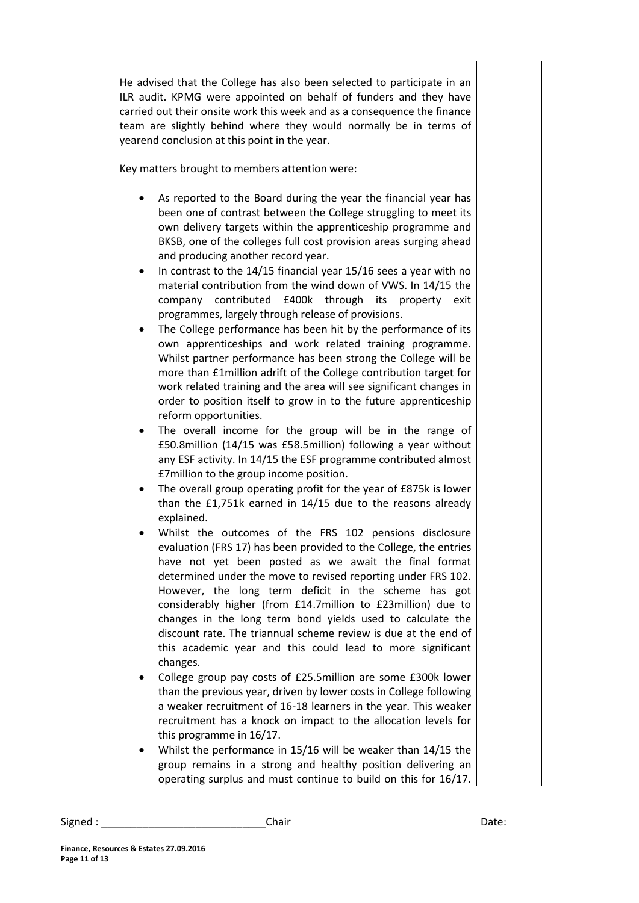He advised that the College has also been selected to participate in an ILR audit. KPMG were appointed on behalf of funders and they have carried out their onsite work this week and as a consequence the finance team are slightly behind where they would normally be in terms of yearend conclusion at this point in the year.

Key matters brought to members attention were:

- As reported to the Board during the year the financial year has been one of contrast between the College struggling to meet its own delivery targets within the apprenticeship programme and BKSB, one of the colleges full cost provision areas surging ahead and producing another record year.
- In contrast to the 14/15 financial year 15/16 sees a year with no material contribution from the wind down of VWS. In 14/15 the company contributed £400k through its property exit programmes, largely through release of provisions.
- The College performance has been hit by the performance of its own apprenticeships and work related training programme. Whilst partner performance has been strong the College will be more than £1million adrift of the College contribution target for work related training and the area will see significant changes in order to position itself to grow in to the future apprenticeship reform opportunities.
- The overall income for the group will be in the range of £50.8million (14/15 was £58.5million) following a year without any ESF activity. In 14/15 the ESF programme contributed almost £7million to the group income position.
- The overall group operating profit for the year of £875k is lower than the £1,751k earned in 14/15 due to the reasons already explained.
- Whilst the outcomes of the FRS 102 pensions disclosure evaluation (FRS 17) has been provided to the College, the entries have not yet been posted as we await the final format determined under the move to revised reporting under FRS 102. However, the long term deficit in the scheme has got considerably higher (from £14.7million to £23million) due to changes in the long term bond yields used to calculate the discount rate. The triannual scheme review is due at the end of this academic year and this could lead to more significant changes.
- College group pay costs of £25.5million are some £300k lower than the previous year, driven by lower costs in College following a weaker recruitment of 16-18 learners in the year. This weaker recruitment has a knock on impact to the allocation levels for this programme in 16/17.
- Whilst the performance in 15/16 will be weaker than 14/15 the group remains in a strong and healthy position delivering an operating surplus and must continue to build on this for 16/17.

Signed : \_\_\_\_\_\_\_\_\_\_\_\_\_\_\_\_\_\_\_\_\_\_\_\_\_\_\_\_Chair Date: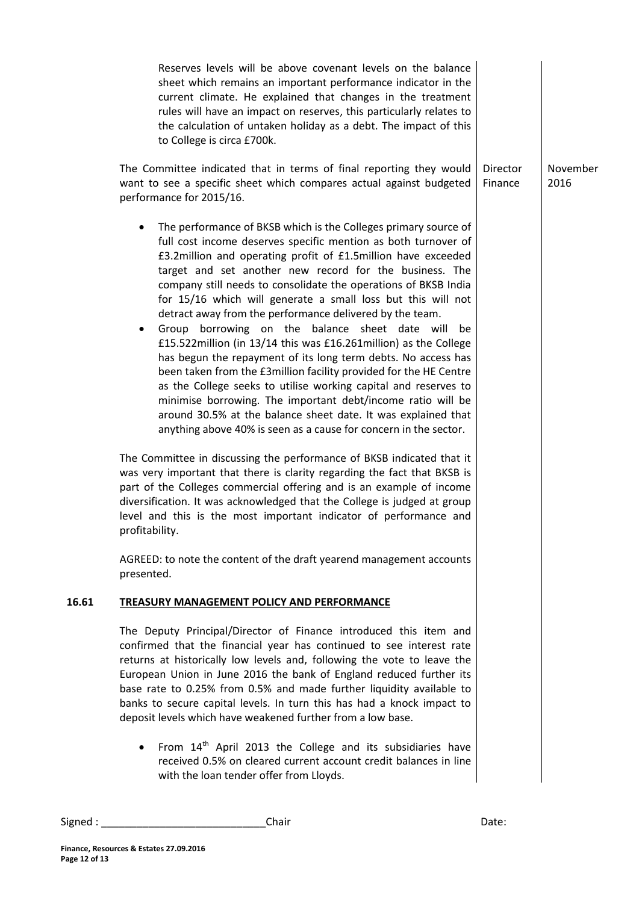|       | Reserves levels will be above covenant levels on the balance<br>sheet which remains an important performance indicator in the<br>current climate. He explained that changes in the treatment<br>rules will have an impact on reserves, this particularly relates to<br>the calculation of untaken holiday as a debt. The impact of this<br>to College is circa £700k.                                                                                                                                                                                                                                                                                                                                                                                                                                                                                                                                                                                                                                                                                                                                                                                                                                                                                                                                                                                                                                                |                     |                  |
|-------|----------------------------------------------------------------------------------------------------------------------------------------------------------------------------------------------------------------------------------------------------------------------------------------------------------------------------------------------------------------------------------------------------------------------------------------------------------------------------------------------------------------------------------------------------------------------------------------------------------------------------------------------------------------------------------------------------------------------------------------------------------------------------------------------------------------------------------------------------------------------------------------------------------------------------------------------------------------------------------------------------------------------------------------------------------------------------------------------------------------------------------------------------------------------------------------------------------------------------------------------------------------------------------------------------------------------------------------------------------------------------------------------------------------------|---------------------|------------------|
|       | The Committee indicated that in terms of final reporting they would<br>want to see a specific sheet which compares actual against budgeted<br>performance for 2015/16.                                                                                                                                                                                                                                                                                                                                                                                                                                                                                                                                                                                                                                                                                                                                                                                                                                                                                                                                                                                                                                                                                                                                                                                                                                               | Director<br>Finance | November<br>2016 |
|       | The performance of BKSB which is the Colleges primary source of<br>٠<br>full cost income deserves specific mention as both turnover of<br>£3.2million and operating profit of £1.5million have exceeded<br>target and set another new record for the business. The<br>company still needs to consolidate the operations of BKSB India<br>for 15/16 which will generate a small loss but this will not<br>detract away from the performance delivered by the team.<br>Group borrowing on the balance sheet date will be<br>$\bullet$<br>£15.522million (in 13/14 this was £16.261million) as the College<br>has begun the repayment of its long term debts. No access has<br>been taken from the £3million facility provided for the HE Centre<br>as the College seeks to utilise working capital and reserves to<br>minimise borrowing. The important debt/income ratio will be<br>around 30.5% at the balance sheet date. It was explained that<br>anything above 40% is seen as a cause for concern in the sector.<br>The Committee in discussing the performance of BKSB indicated that it<br>was very important that there is clarity regarding the fact that BKSB is<br>part of the Colleges commercial offering and is an example of income<br>diversification. It was acknowledged that the College is judged at group<br>level and this is the most important indicator of performance and<br>profitability. |                     |                  |
|       | AGREED: to note the content of the draft yearend management accounts<br>presented.                                                                                                                                                                                                                                                                                                                                                                                                                                                                                                                                                                                                                                                                                                                                                                                                                                                                                                                                                                                                                                                                                                                                                                                                                                                                                                                                   |                     |                  |
| 16.61 | TREASURY MANAGEMENT POLICY AND PERFORMANCE                                                                                                                                                                                                                                                                                                                                                                                                                                                                                                                                                                                                                                                                                                                                                                                                                                                                                                                                                                                                                                                                                                                                                                                                                                                                                                                                                                           |                     |                  |
|       | The Deputy Principal/Director of Finance introduced this item and<br>confirmed that the financial year has continued to see interest rate<br>returns at historically low levels and, following the vote to leave the<br>European Union in June 2016 the bank of England reduced further its<br>base rate to 0.25% from 0.5% and made further liquidity available to<br>banks to secure capital levels. In turn this has had a knock impact to<br>deposit levels which have weakened further from a low base.                                                                                                                                                                                                                                                                                                                                                                                                                                                                                                                                                                                                                                                                                                                                                                                                                                                                                                         |                     |                  |
|       | From 14 <sup>th</sup> April 2013 the College and its subsidiaries have<br>$\bullet$<br>received 0.5% on cleared current account credit balances in line<br>with the loan tender offer from Lloyds.                                                                                                                                                                                                                                                                                                                                                                                                                                                                                                                                                                                                                                                                                                                                                                                                                                                                                                                                                                                                                                                                                                                                                                                                                   |                     |                  |